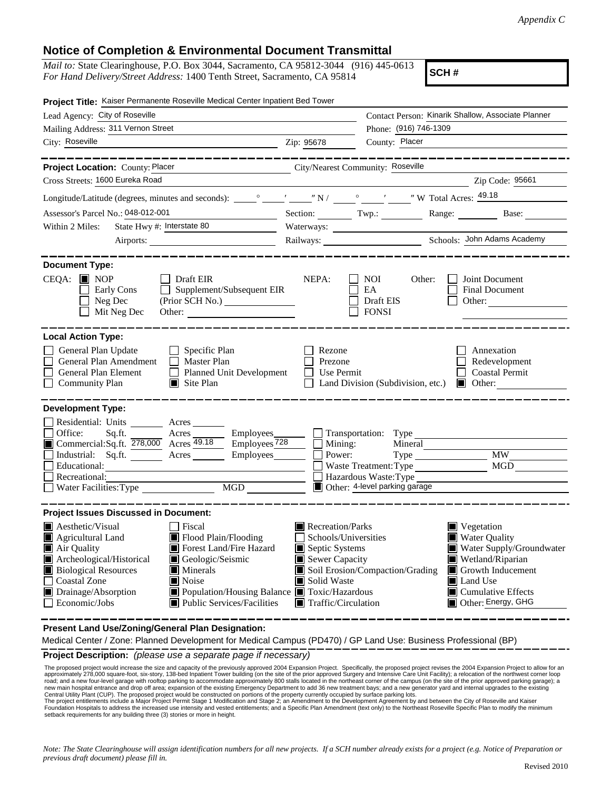## **Notice of Completion & Environmental Document Transmittal**

*Mail to:* State Clearinghouse, P.O. Box 3044, Sacramento, CA 95812-3044 (916) 445-0613 *For Hand Delivery/Street Address:* 1400 Tenth Street, Sacramento, CA 95814

**SCH #**

| Project Title: Kaiser Permanente Roseville Medical Center Inpatient Bed Tower                                                                                                                                                                                                                                                                                                     |                                                                                                                                   |                                                                                                                    |                                                                                                                                                                                                                                                                                                                                                                                                                                                                                 |  |  |
|-----------------------------------------------------------------------------------------------------------------------------------------------------------------------------------------------------------------------------------------------------------------------------------------------------------------------------------------------------------------------------------|-----------------------------------------------------------------------------------------------------------------------------------|--------------------------------------------------------------------------------------------------------------------|---------------------------------------------------------------------------------------------------------------------------------------------------------------------------------------------------------------------------------------------------------------------------------------------------------------------------------------------------------------------------------------------------------------------------------------------------------------------------------|--|--|
| Lead Agency: City of Roseville                                                                                                                                                                                                                                                                                                                                                    |                                                                                                                                   |                                                                                                                    | Contact Person: Kinarik Shallow, Associate Planner                                                                                                                                                                                                                                                                                                                                                                                                                              |  |  |
| Mailing Address: 311 Vernon Street                                                                                                                                                                                                                                                                                                                                                |                                                                                                                                   | Phone: (916) 746-1309                                                                                              |                                                                                                                                                                                                                                                                                                                                                                                                                                                                                 |  |  |
| City: Roseville                                                                                                                                                                                                                                                                                                                                                                   | Zip: 95678                                                                                                                        | County: Placer                                                                                                     |                                                                                                                                                                                                                                                                                                                                                                                                                                                                                 |  |  |
| City/Nearest Community: Roseville<br>Project Location: County: Placer<br>Cross Streets: 1600 Eureka Road                                                                                                                                                                                                                                                                          |                                                                                                                                   |                                                                                                                    | $\overline{\phantom{a}}$ $\overline{\phantom{a}}$ $\overline{\phantom{a}}$ $\overline{\phantom{a}}$ $\overline{\phantom{a}}$ $\overline{\phantom{a}}$ $\overline{\phantom{a}}$ $\overline{\phantom{a}}$ $\overline{\phantom{a}}$ $\overline{\phantom{a}}$ $\overline{\phantom{a}}$ $\overline{\phantom{a}}$ $\overline{\phantom{a}}$ $\overline{\phantom{a}}$ $\overline{\phantom{a}}$ $\overline{\phantom{a}}$ $\overline{\phantom{a}}$ $\overline{\phantom{a}}$ $\overline{\$ |  |  |
|                                                                                                                                                                                                                                                                                                                                                                                   |                                                                                                                                   |                                                                                                                    |                                                                                                                                                                                                                                                                                                                                                                                                                                                                                 |  |  |
|                                                                                                                                                                                                                                                                                                                                                                                   |                                                                                                                                   |                                                                                                                    |                                                                                                                                                                                                                                                                                                                                                                                                                                                                                 |  |  |
| Assessor's Parcel No.: 048-012-001                                                                                                                                                                                                                                                                                                                                                |                                                                                                                                   | Section: Twp.: Range: Next                                                                                         | Base:                                                                                                                                                                                                                                                                                                                                                                                                                                                                           |  |  |
| State Hwy #: Interstate 80<br>Within 2 Miles:                                                                                                                                                                                                                                                                                                                                     |                                                                                                                                   |                                                                                                                    |                                                                                                                                                                                                                                                                                                                                                                                                                                                                                 |  |  |
| Airports:                                                                                                                                                                                                                                                                                                                                                                         |                                                                                                                                   |                                                                                                                    |                                                                                                                                                                                                                                                                                                                                                                                                                                                                                 |  |  |
| <b>Document Type:</b><br>$CEQA:$ MOP<br>$\Box$ Draft EIR<br>Supplement/Subsequent EIR<br>Early Cons<br>Neg Dec<br>Mit Neg Dec<br>Other:                                                                                                                                                                                                                                           | NEPA:                                                                                                                             | <b>NOI</b><br>Other:<br>EA<br>Draft EIS<br><b>FONSI</b>                                                            | Joint Document<br><b>Final Document</b><br>Other: $\qquad \qquad$                                                                                                                                                                                                                                                                                                                                                                                                               |  |  |
| <b>Local Action Type:</b>                                                                                                                                                                                                                                                                                                                                                         |                                                                                                                                   |                                                                                                                    |                                                                                                                                                                                                                                                                                                                                                                                                                                                                                 |  |  |
| General Plan Update<br>$\Box$ Specific Plan<br>General Plan Amendment<br>$\Box$ Master Plan<br>General Plan Element<br>Planned Unit Development<br><b>Community Plan</b><br>$\Box$ Site Plan                                                                                                                                                                                      | Rezone<br>Prezone<br>Use Permit<br>$\mathbf{I}$                                                                                   | Land Division (Subdivision, etc.)                                                                                  | Annexation<br>Redevelopment<br><b>Coastal Permit</b><br>$\blacksquare$ Other:                                                                                                                                                                                                                                                                                                                                                                                                   |  |  |
| <b>Development Type:</b><br>Residential: Units Acres<br>Office:<br>Acres Employees<br>Sq.ft.<br>Commercial:Sq.ft. 278,000 Acres 49.18 Employees 728<br>Industrial: Sq.ft.<br>Acres Employees<br>Educational:<br>Recreational:<br>MGD MGD                                                                                                                                          | Mining:<br>$\perp$<br>Power:                                                                                                      | Transportation: Type<br>Mineral<br>Waste Treatment: Type<br>Hazardous Waste: Type<br>Other: 4-level parking garage | <b>MW</b><br><b>MGD</b>                                                                                                                                                                                                                                                                                                                                                                                                                                                         |  |  |
| <b>Project Issues Discussed in Document:</b>                                                                                                                                                                                                                                                                                                                                      |                                                                                                                                   |                                                                                                                    |                                                                                                                                                                                                                                                                                                                                                                                                                                                                                 |  |  |
| <b>A</b> esthetic/Visual<br>  Fiscal<br>Agricultural Land<br>Flood Plain/Flooding<br>Air Quality<br>Forest Land/Fire Hazard<br>Archeological/Historical<br>Geologic/Seismic<br><b>Biological Resources</b><br>Minerals<br><b>Coastal Zone</b><br>Noise<br>Drainage/Absorption<br>Population/Housing Balance Toxic/Hazardous<br><b>Public Services/Facilities</b><br>Economic/Jobs | Recreation/Parks<br>Schools/Universities<br>Septic Systems<br>Sewer Capacity<br>Solid Waste<br>$\blacksquare$ Traffic/Circulation | Soil Erosion/Compaction/Grading                                                                                    | $\blacksquare$ Vegetation<br><b>Water Quality</b><br>Water Supply/Groundwater<br>Wetland/Riparian<br>Growth Inducement<br>IЦ<br>Land Use<br>Ш<br>$\blacksquare$ Cumulative Effects<br>Other: Energy, GHG                                                                                                                                                                                                                                                                        |  |  |

**Present Land Use/Zoning/General Plan Designation:**

Medical Center / Zone: Planned Development for Medical Campus (PD470) / GP Land Use: Business Professional (BP)

**Project Description:** *(please use a separate page if necessary)*

The proposed project would increase the size and capacity of the previously approved 2004 Expansion Project. Specifically, the proposed project revises the 2004 Expansion Project to allow for an approximately approximately The proposed project would increase the size and capacity of the previously approved 2004 Expansion Project. Specifically, the proposed project revises the 2004 Expansion Project to allow for an

Foundation Hospitals to address the increased use intensity and vested entitlements, and a Specific Plan Amendment (text only) to the Northeast Roseville Specific Plan to modify the minimum setback requirements for any building three (3) stories or more in height.

*Note: The State Clearinghouse will assign identification numbers for all new projects. If a SCH number already exists for a project (e.g. Notice of Preparation or previous draft document) please fill in.*